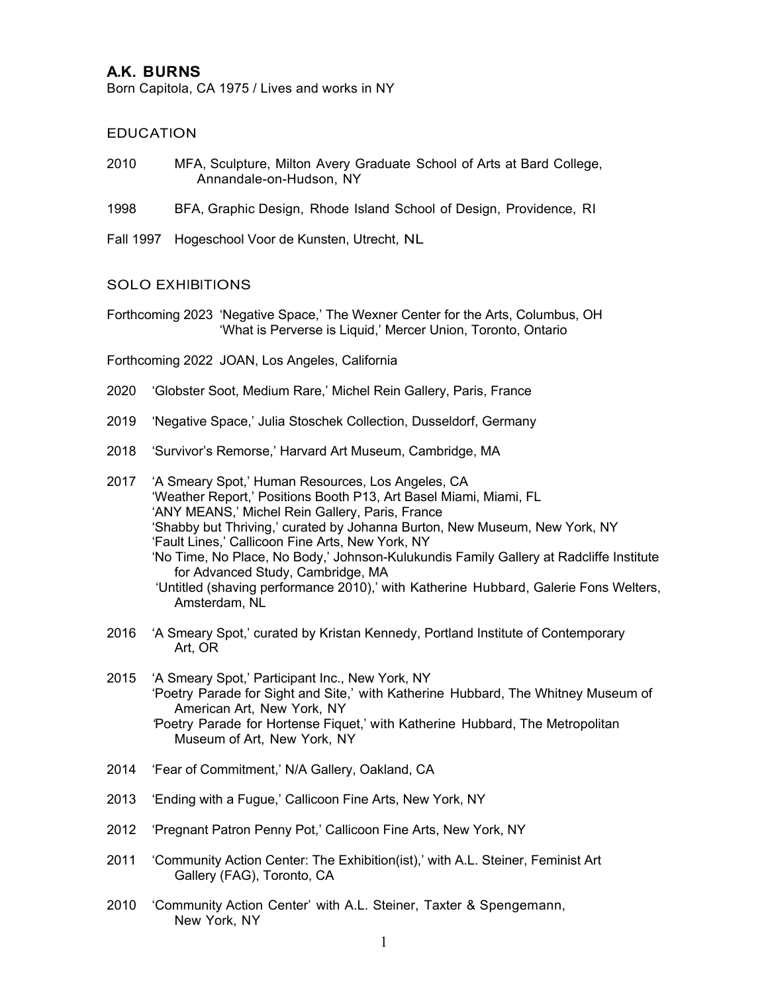# **A.K. BURNS**

Born Capitola, CA 1975 / Lives and works in NY

### EDUCATION

- 2010 MFA, Sculpture, Milton Avery Graduate School of Arts at Bard College, Annandale-on-Hudson, NY
- 1998 BFA, Graphic Design, Rhode Island School of Design, Providence, RI
- Fall 1997 Hogeschool Voor de Kunsten, Utrecht, NL

#### SOLO EXHIBITIONS

Forthcoming 2023 'Negative Space,' The Wexner Center for the Arts, Columbus, OH 'What is Perverse is Liquid,' Mercer Union, Toronto, Ontario

Forthcoming 2022 JOAN, Los Angeles, California

- 2020 'Globster Soot, Medium Rare,' Michel Rein Gallery, Paris, France
- 2019 'Negative Space,' Julia Stoschek Collection, Dusseldorf, Germany
- 2018 'Survivor's Remorse,' Harvard Art Museum, Cambridge, MA
- 2017 'A Smeary Spot,' Human Resources, Los Angeles, CA 'Weather Report,' Positions Booth P13, Art Basel Miami, Miami, FL 'ANY MEANS,' Michel Rein Gallery, Paris, France 'Shabby but Thriving,' curated by Johanna Burton, New Museum, New York, NY 'Fault Lines,' Callicoon Fine Arts, New York, NY 'No Time, No Place, No Body,' Johnson-Kulukundis Family Gallery at Radcliffe Institute for Advanced Study, Cambridge, MA 'Untitled (shaving performance 2010),' with Katherine Hubbard, Galerie Fons Welters, Amsterdam, NL
- 2016 'A Smeary Spot,' curated by Kristan Kennedy, Portland Institute of Contemporary Art, OR
- 2015 'A Smeary Spot,' Participant Inc., New York, NY 'Poetry Parade for Sight and Site,' with Katherine Hubbard, The Whitney Museum of American Art, New York, NY *'*Poetry Parade for Hortense Fiquet,' with Katherine Hubbard, The Metropolitan Museum of Art, New York, NY
- 2014 'Fear of Commitment,' N/A Gallery, Oakland, CA
- 2013 'Ending with a Fugue,' Callicoon Fine Arts, New York, NY
- 2012 'Pregnant Patron Penny Pot,' Callicoon Fine Arts, New York, NY
- 2011 'Community Action Center: The Exhibition(ist),' with A.L. Steiner, Feminist Art Gallery (FAG), Toronto, CA
- 2010 'Community Action Center' with A.L. Steiner, Taxter & Spengemann, New York, NY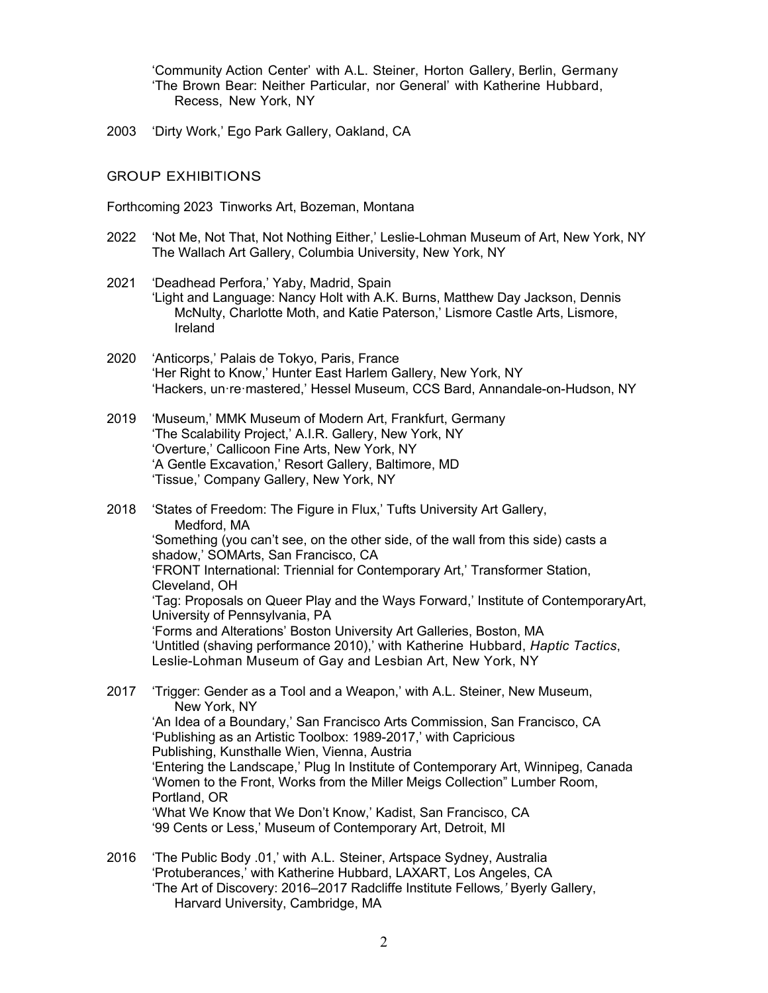'Community Action Center' with A.L. Steiner, Horton Gallery, Berlin, Germany 'The Brown Bear: Neither Particular, nor General' with Katherine Hubbard, Recess, New York, NY

2003 'Dirty Work,' Ego Park Gallery, Oakland, CA

## GROUP EXHIBITIONS

Forthcoming 2023 Tinworks Art, Bozeman, Montana

- 2022 'Not Me, Not That, Not Nothing Either,' Leslie-Lohman Museum of Art, New York, NY The Wallach Art Gallery, Columbia University, New York, NY
- 2021 'Deadhead Perfora,' Yaby, Madrid, Spain 'Light and Language: Nancy Holt with A.K. Burns, Matthew Day Jackson, Dennis McNulty, Charlotte Moth, and Katie Paterson,' Lismore Castle Arts, Lismore, Ireland
- 2020 'Anticorps,' Palais de Tokyo, Paris, France 'Her Right to Know,' Hunter East Harlem Gallery, New York, NY 'Hackers, un·re·mastered,' Hessel Museum, CCS Bard, Annandale-on-Hudson, NY
- 2019 'Museum,' MMK Museum of Modern Art, Frankfurt, Germany 'The Scalability Project,' A.I.R. Gallery, New York, NY 'Overture,' Callicoon Fine Arts, New York, NY 'A Gentle Excavation,' Resort Gallery, Baltimore, MD 'Tissue,' Company Gallery, New York, NY
- 2018 'States of Freedom: The Figure in Flux,' Tufts University Art Gallery, Medford, MA 'Something (you can't see, on the other side, of the wall from this side) casts a shadow,' SOMArts, San Francisco, CA 'FRONT International: Triennial for Contemporary Art,' Transformer Station, Cleveland, OH 'Tag: Proposals on Queer Play and the Ways Forward,' Institute of ContemporaryArt, University of Pennsylvania, PA 'Forms and Alterations' Boston University Art Galleries, Boston, MA 'Untitled (shaving performance 2010),' with Katherine Hubbard, *Haptic Tactics*, Leslie-Lohman Museum of Gay and Lesbian Art, New York, NY
- 2017 'Trigger: Gender as a Tool and a Weapon,' with A.L. Steiner, New Museum, New York, NY 'An Idea of a Boundary,' San Francisco Arts Commission, San Francisco, CA 'Publishing as an Artistic Toolbox: 1989-2017,' with Capricious Publishing, Kunsthalle Wien, Vienna, Austria 'Entering the Landscape,' Plug In Institute of Contemporary Art, Winnipeg, Canada 'Women to the Front, Works from the Miller Meigs Collection" Lumber Room, Portland, OR 'What We Know that We Don't Know,' Kadist, San Francisco, CA '99 Cents or Less,' Museum of Contemporary Art, Detroit, MI
- 2016 'The Public Body .01,' with A.L. Steiner, Artspace Sydney, Australia 'Protuberances,' with Katherine Hubbard, LAXART, Los Angeles, CA 'The Art of Discovery: 2016–2017 Radcliffe Institute Fellows*,'* Byerly Gallery, Harvard University, Cambridge, MA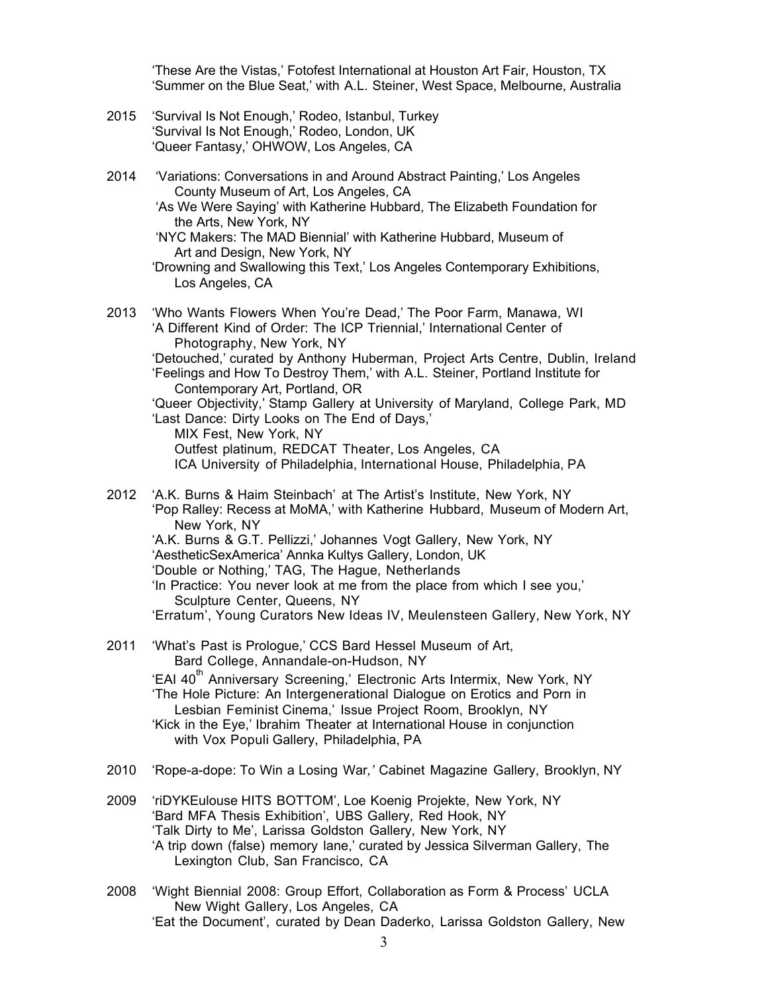'These Are the Vistas,' Fotofest International at Houston Art Fair, Houston, TX 'Summer on the Blue Seat,' with A.L. Steiner, West Space, Melbourne, Australia

- 2015 'Survival Is Not Enough,' Rodeo, Istanbul, Turkey 'Survival Is Not Enough,' Rodeo, London, UK 'Queer Fantasy,' OHWOW, Los Angeles, CA
- 2014 'Variations: Conversations in and Around Abstract Painting,' Los Angeles County Museum of Art, Los Angeles, CA
	- 'As We Were Saying' with Katherine Hubbard, The Elizabeth Foundation for the Arts, New York, NY

'NYC Makers: The MAD Biennial' with Katherine Hubbard, Museum of Art and Design, New York, NY

2013 'Who Wants Flowers When You're Dead,' The Poor Farm, Manawa, WI 'A Different Kind of Order: The ICP Triennial,' International Center of Photography, New York, NY 'Detouched,' curated by Anthony Huberman, Project Arts Centre, Dublin, Ireland 'Feelings and How To Destroy Them,' with A.L. Steiner, Portland Institute for Contemporary Art, Portland, OR 'Queer Objectivity,' Stamp Gallery at University of Maryland, College Park, MD 'Last Dance: Dirty Looks on The End of Days,' MIX Fest, New York, NY Outfest platinum, REDCAT Theater, Los Angeles, CA

ICA University of Philadelphia, International House, Philadelphia, PA

- 2012 'A.K. Burns & Haim Steinbach' at The Artist's Institute, New York, NY 'Pop Ralley: Recess at MoMA,' with Katherine Hubbard, Museum of Modern Art, New York, NY 'A.K. Burns & G.T. Pellizzi,' Johannes Vogt Gallery, New York, NY 'AestheticSexAmerica' Annka Kultys Gallery, London, UK 'Double or Nothing,' TAG, The Hague, Netherlands 'In Practice: You never look at me from the place from which I see you,' Sculpture Center, Queens, NY 'Erratum', Young Curators New Ideas IV, Meulensteen Gallery, New York, NY
- 2011 'What's Past is Prologue,' CCS Bard Hessel Museum of Art, Bard College, Annandale-on-Hudson, NY 'EAI 40<sup>th</sup> Anniversary Screening,' Electronic Arts Intermix, New York, NY 'The Hole Picture: An Intergenerational Dialogue on Erotics and Porn in Lesbian Feminist Cinema,' Issue Project Room, Brooklyn, NY 'Kick in the Eye,' Ibrahim Theater at International House in conjunction with Vox Populi Gallery, Philadelphia, PA
- 2010 'Rope-a-dope: To Win a Losing War*,'* Cabinet Magazine Gallery, Brooklyn, NY
- 2009 'riDYKEulouse HITS BOTTOM', Loe Koenig Projekte, New York, NY 'Bard MFA Thesis Exhibition', UBS Gallery, Red Hook, NY 'Talk Dirty to Me', Larissa Goldston Gallery, New York, NY 'A trip down (false) memory lane,' curated by Jessica Silverman Gallery, The Lexington Club, San Francisco, CA
- 2008 'Wight Biennial 2008: Group Effort, Collaboration as Form & Process' UCLA New Wight Gallery, Los Angeles, CA 'Eat the Document', curated by Dean Daderko, Larissa Goldston Gallery, New

<sup>&#</sup>x27;Drowning and Swallowing this Text,' Los Angeles Contemporary Exhibitions, Los Angeles, CA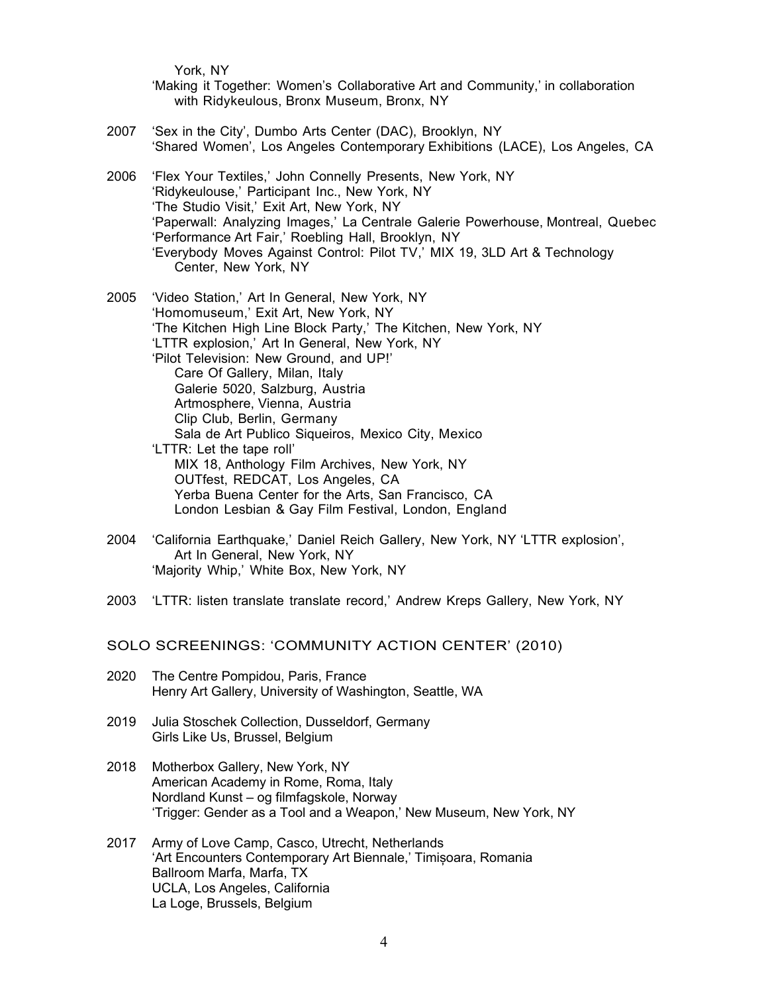York, NY

'Making it Together: Women's Collaborative Art and Community,' in collaboration with Ridykeulous, Bronx Museum, Bronx, NY

- 2007 'Sex in the City', Dumbo Arts Center (DAC), Brooklyn, NY 'Shared Women', Los Angeles Contemporary Exhibitions (LACE), Los Angeles, CA
- 2006 'Flex Your Textiles,' John Connelly Presents, New York, NY 'Ridykeulouse,' Participant Inc., New York, NY 'The Studio Visit,' Exit Art, New York, NY 'Paperwall: Analyzing Images,' La Centrale Galerie Powerhouse, Montreal, Quebec 'Performance Art Fair,' Roebling Hall, Brooklyn, NY 'Everybody Moves Against Control: Pilot TV,' MIX 19, 3LD Art & Technology Center, New York, NY
- 2005 'Video Station,' Art In General, New York, NY 'Homomuseum,' Exit Art, New York, NY 'The Kitchen High Line Block Party,' The Kitchen, New York, NY 'LTTR explosion,' Art In General, New York, NY 'Pilot Television: New Ground, and UP!' Care Of Gallery, Milan, Italy Galerie 5020, Salzburg, Austria Artmosphere, Vienna, Austria Clip Club, Berlin, Germany Sala de Art Publico Siqueiros, Mexico City, Mexico 'LTTR: Let the tape roll' MIX 18, Anthology Film Archives, New York, NY OUTfest, REDCAT, Los Angeles, CA Yerba Buena Center for the Arts, San Francisco, CA London Lesbian & Gay Film Festival, London, England
- 2004 'California Earthquake,' Daniel Reich Gallery, New York, NY 'LTTR explosion', Art In General, New York, NY 'Majority Whip,' White Box, New York, NY
- 2003 'LTTR: listen translate translate record,' Andrew Kreps Gallery, New York, NY

SOLO SCREENINGS: 'COMMUNITY ACTION CENTER' (2010)

- 2020 The Centre Pompidou, Paris, France Henry Art Gallery, University of Washington, Seattle, WA
- 2019 Julia Stoschek Collection, Dusseldorf, Germany Girls Like Us, Brussel, Belgium
- 2018 Motherbox Gallery, New York, NY American Academy in Rome, Roma, Italy Nordland Kunst – og filmfagskole, Norway 'Trigger: Gender as a Tool and a Weapon,' New Museum, New York, NY
- 2017 Army of Love Camp, Casco, Utrecht, Netherlands 'Art Encounters Contemporary Art Biennale,' Timișoara, Romania Ballroom Marfa, Marfa, TX UCLA, Los Angeles, California La Loge, Brussels, Belgium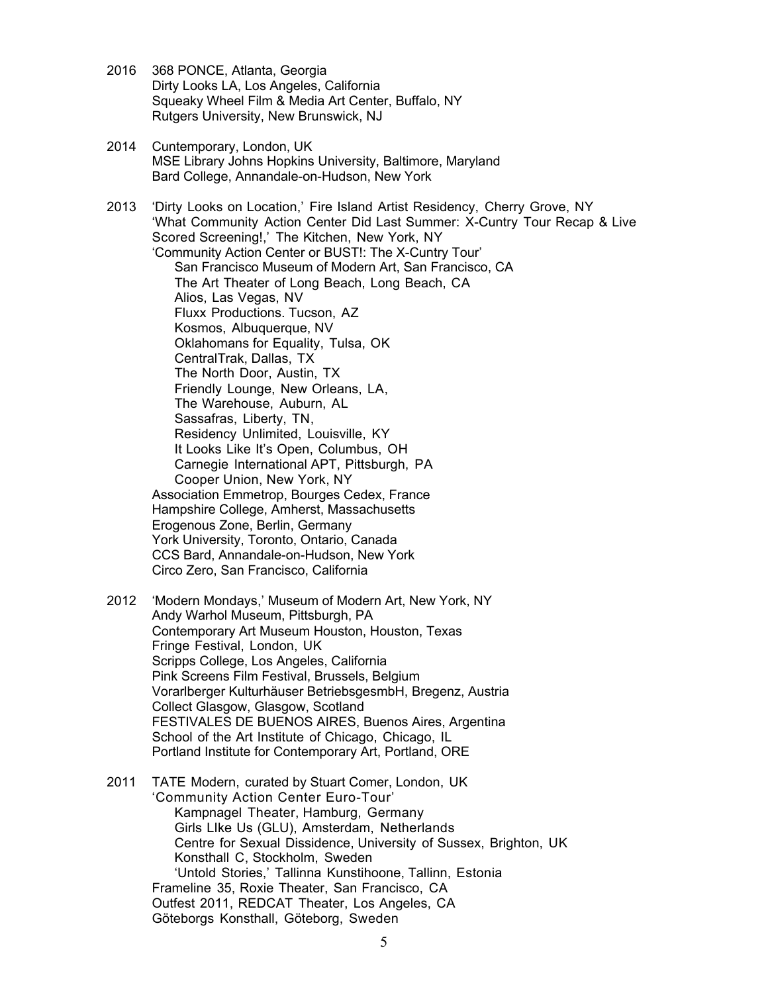- 2016 368 PONCE, Atlanta, Georgia Dirty Looks LA, Los Angeles, California Squeaky Wheel Film & Media Art Center, Buffalo, NY Rutgers University, New Brunswick, NJ
- 2014 Cuntemporary, London, UK MSE Library Johns Hopkins University, Baltimore, Maryland Bard College, Annandale-on-Hudson, New York

2013 'Dirty Looks on Location,' Fire Island Artist Residency, Cherry Grove, NY 'What Community Action Center Did Last Summer: X-Cuntry Tour Recap & Live Scored Screening!,' The Kitchen, New York, NY 'Community Action Center or BUST!: The X-Cuntry Tour' San Francisco Museum of Modern Art, San Francisco, CA The Art Theater of Long Beach, Long Beach, CA Alios, Las Vegas, NV Fluxx Productions. Tucson, AZ Kosmos, Albuquerque, NV Oklahomans for Equality, Tulsa, OK CentralTrak, Dallas, TX The North Door, Austin, TX Friendly Lounge, New Orleans, LA, The Warehouse, Auburn, AL Sassafras, Liberty, TN, Residency Unlimited, Louisville, KY It Looks Like It's Open, Columbus, OH Carnegie International APT, Pittsburgh, PA Cooper Union, New York, NY Association Emmetrop, Bourges Cedex, France Hampshire College, Amherst, Massachusetts Erogenous Zone, Berlin, Germany York University, Toronto, Ontario, Canada CCS Bard, Annandale-on-Hudson, New York Circo Zero, San Francisco, California

- 2012 'Modern Mondays,' Museum of Modern Art, New York, NY Andy Warhol Museum, Pittsburgh, PA Contemporary Art Museum Houston, Houston, Texas Fringe Festival, London, UK Scripps College, Los Angeles, California Pink Screens Film Festival, Brussels, Belgium Vorarlberger Kulturhäuser BetriebsgesmbH, Bregenz, Austria Collect Glasgow, Glasgow, Scotland FESTIVALES DE BUENOS AIRES, Buenos Aires, Argentina School of the Art Institute of Chicago, Chicago, IL Portland Institute for Contemporary Art, Portland, ORE
- 2011 TATE Modern, curated by Stuart Comer, London, UK 'Community Action Center Euro-Tour' Kampnagel Theater, Hamburg, Germany Girls LIke Us (GLU), Amsterdam, Netherlands Centre for Sexual Dissidence, University of Sussex, Brighton, UK Konsthall C, Stockholm, Sweden 'Untold Stories,' Tallinna Kunstihoone, Tallinn, Estonia Frameline 35, Roxie Theater, San Francisco, CA Outfest 2011, REDCAT Theater, Los Angeles, CA Göteborgs Konsthall, Göteborg, Sweden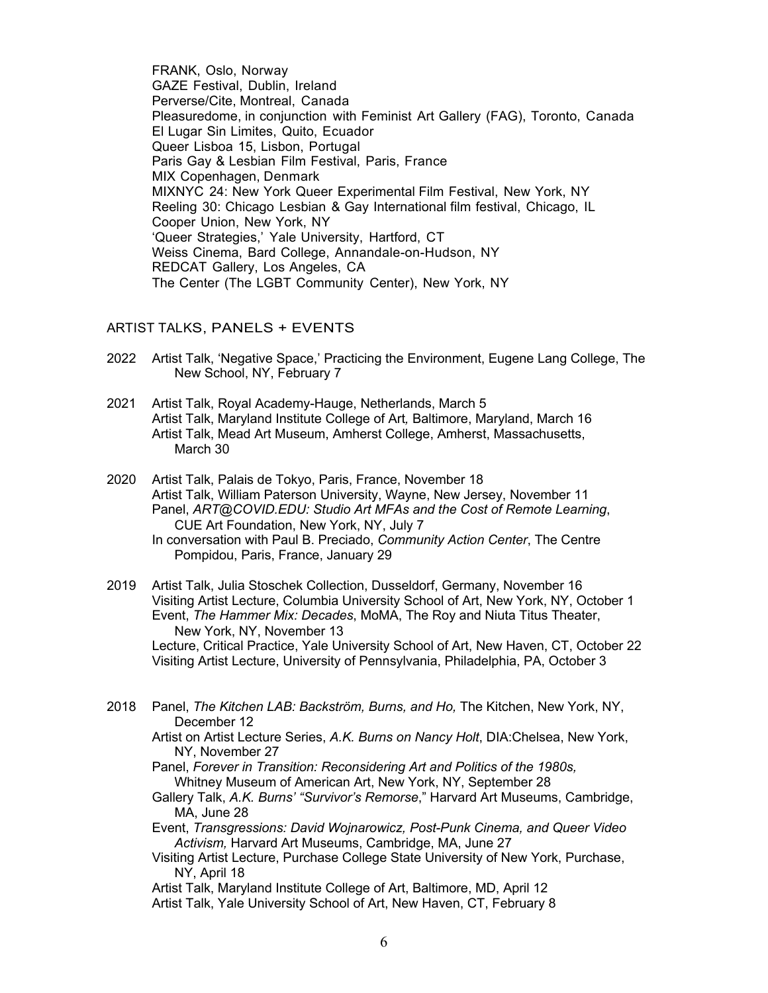FRANK, Oslo, Norway GAZE Festival, Dublin, Ireland Perverse/Cite, Montreal, Canada Pleasuredome, in conjunction with Feminist Art Gallery (FAG), Toronto, Canada El Lugar Sin Limites, Quito, Ecuador Queer Lisboa 15, Lisbon, Portugal Paris Gay & Lesbian Film Festival, Paris, France MIX Copenhagen, Denmark MIXNYC 24: New York Queer Experimental Film Festival, New York, NY Reeling 30: Chicago Lesbian & Gay International film festival, Chicago, IL Cooper Union, New York, NY 'Queer Strategies,' Yale University, Hartford, CT Weiss Cinema, Bard College, Annandale-on-Hudson, NY REDCAT Gallery, Los Angeles, CA The Center (The LGBT Community Center), New York, NY

#### ARTIST TALKS, PANELS + EVENTS

- 2022 Artist Talk, 'Negative Space,' Practicing the Environment, Eugene Lang College, The New School, NY, February 7
- 2021 Artist Talk, Royal Academy-Hauge, Netherlands, March 5 Artist Talk, Maryland Institute College of Art*,* Baltimore, Maryland, March 16 Artist Talk, Mead Art Museum, Amherst College, Amherst, Massachusetts, March 30
- 2020 Artist Talk, Palais de Tokyo, Paris, France, November 18 Artist Talk, William Paterson University, Wayne, New Jersey, November 11 Panel, *ART@COVID.EDU: Studio Art MFAs and the Cost of Remote Learning*, CUE Art Foundation, New York, NY, July 7 In conversation with Paul B. Preciado, *Community Action Center*, The Centre Pompidou, Paris, France, January 29
- 2019 Artist Talk, Julia Stoschek Collection, Dusseldorf, Germany, November 16 Visiting Artist Lecture, Columbia University School of Art, New York, NY, October 1 Event, *The Hammer Mix: Decades*, MoMA, The Roy and Niuta Titus Theater, New York, NY, November 13 Lecture, Critical Practice, Yale University School of Art, New Haven, CT, October 22 Visiting Artist Lecture, University of Pennsylvania, Philadelphia, PA, October 3
- 2018 Panel, *The Kitchen LAB: Backström, Burns, and Ho,* The Kitchen, New York, NY, December 12
	- Artist on Artist Lecture Series, *A.K. Burns on Nancy Holt*, DIA:Chelsea, New York, NY, November 27
	- Panel, *Forever in Transition: Reconsidering Art and Politics of the 1980s,* Whitney Museum of American Art, New York, NY, September 28
	- Gallery Talk, *A.K. Burns' "Survivor's Remorse*," Harvard Art Museums, Cambridge, MA, June 28
	- Event, *Transgressions: David Wojnarowicz, Post-Punk Cinema, and Queer Video Activism,* Harvard Art Museums, Cambridge, MA, June 27
	- Visiting Artist Lecture, Purchase College State University of New York, Purchase, NY, April 18

Artist Talk, Maryland Institute College of Art, Baltimore, MD, April 12 Artist Talk, Yale University School of Art, New Haven, CT, February 8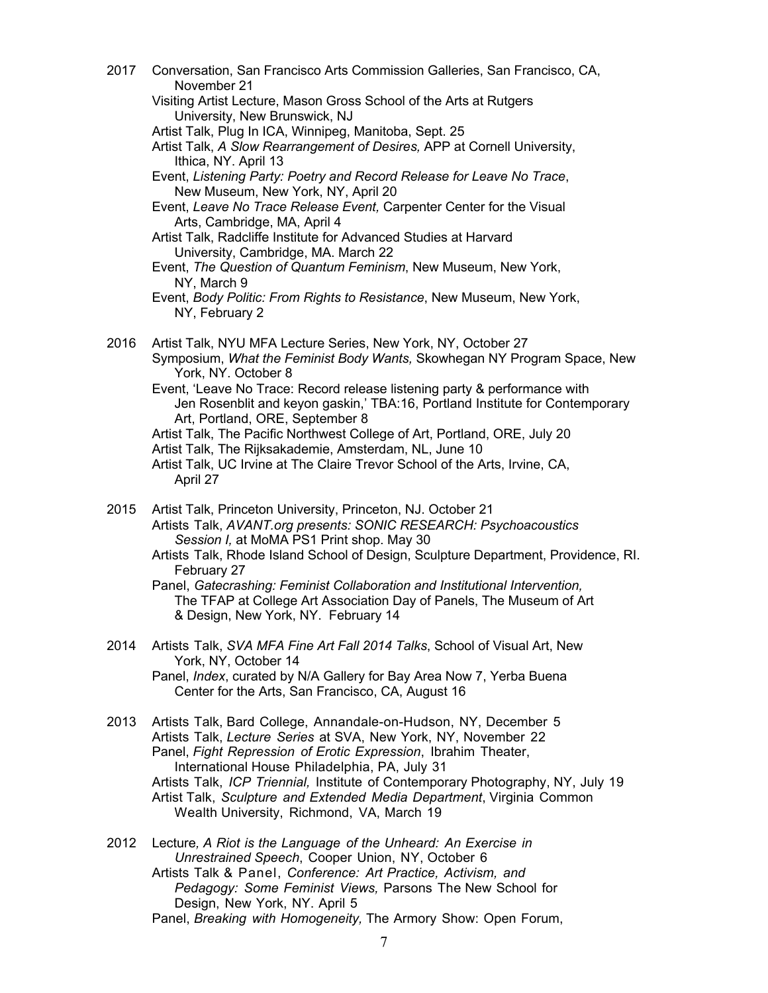- 2017 Conversation, San Francisco Arts Commission Galleries, San Francisco, CA, November 21 Visiting Artist Lecture, Mason Gross School of the Arts at Rutgers University, New Brunswick, NJ Artist Talk, Plug In ICA, Winnipeg, Manitoba, Sept. 25 Artist Talk, *A Slow Rearrangement of Desires,* APP at Cornell University, Ithica, NY. April 13
	- Event, *Listening Party: Poetry and Record Release for Leave No Trace*, New Museum, New York, NY, April 20
	- Event, *Leave No Trace Release Event,* Carpenter Center for the Visual Arts, Cambridge, MA, April 4
	- Artist Talk, Radcliffe Institute for Advanced Studies at Harvard University, Cambridge, MA. March 22
	- Event, *The Question of Quantum Feminism*, New Museum, New York, NY, March 9
	- Event, *Body Politic: From Rights to Resistance*, New Museum, New York, NY, February 2
- 2016 Artist Talk, NYU MFA Lecture Series, New York, NY, October 27 Symposium, *What the Feminist Body Wants,* Skowhegan NY Program Space, New York, NY. October 8
	- Event, 'Leave No Trace: Record release listening party & performance with Jen Rosenblit and keyon gaskin,' TBA:16, Portland Institute for Contemporary Art, Portland, ORE, September 8
	- Artist Talk, The Pacific Northwest College of Art, Portland, ORE, July 20
	- Artist Talk, The Rijksakademie, Amsterdam, NL, June 10
	- Artist Talk, UC Irvine at The Claire Trevor School of the Arts, Irvine, CA, April 27
- 2015 Artist Talk, Princeton University, Princeton, NJ. October 21 Artists Talk, *AVANT.org presents: SONIC RESEARCH: Psychoacoustics Session I,* at MoMA PS1 Print shop. May 30

Artists Talk, Rhode Island School of Design, Sculpture Department, Providence, RI. February 27

Panel, *Gatecrashing: Feminist Collaboration and Institutional Intervention,*  The TFAP at College Art Association Day of Panels, The Museum of Art & Design, New York, NY. February 14

2014 Artists Talk, *SVA MFA Fine Art Fall 2014 Talks*, School of Visual Art, New York, NY, October 14

Panel, *Index*, curated by N/A Gallery for Bay Area Now 7, Yerba Buena Center for the Arts, San Francisco, CA, August 16

- 2013 Artists Talk, Bard College, Annandale-on-Hudson, NY, December 5 Artists Talk, *Lecture Series* at SVA, New York, NY, November 22 Panel, *Fight Repression of Erotic Expression*, Ibrahim Theater, International House Philadelphia, PA, July 31 Artists Talk, *ICP Triennial,* Institute of Contemporary Photography, NY, July 19 Artist Talk, *Sculpture and Extended Media Department*, Virginia Common Wealth University, Richmond, VA, March 19
- 2012 Lecture*, A Riot is the Language of the Unheard: An Exercise in Unrestrained Speech*, Cooper Union, NY, October 6 Artists Talk & Panel, *Conference: Art Practice, Activism, and Pedagogy: Some Feminist Views,* Parsons The New School for Design, New York, NY. April 5
	- Panel, *Breaking with Homogeneity,* The Armory Show: Open Forum,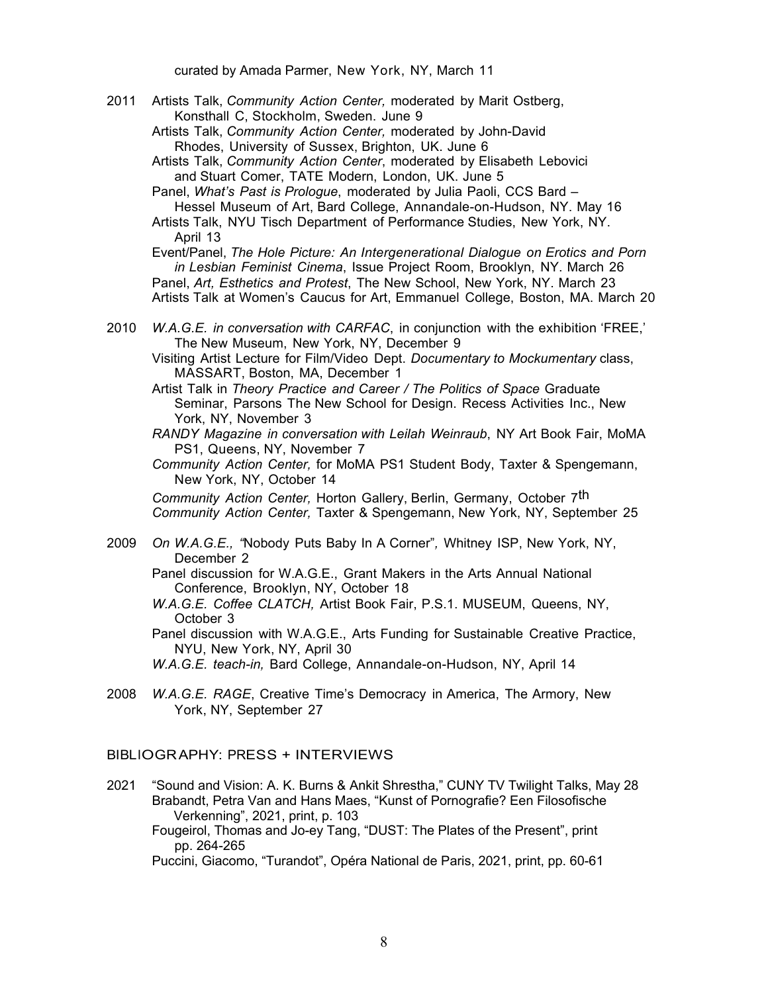curated by Amada Parmer, New York, NY, March 11

- 2011 Artists Talk, *Community Action Center,* moderated by Marit Ostberg, Konsthall C, Stockholm, Sweden. June 9
	- Artists Talk, *Community Action Center,* moderated by John-David Rhodes, University of Sussex, Brighton, UK. June 6

Artists Talk, *Community Action Center*, moderated by Elisabeth Lebovici and Stuart Comer, TATE Modern, London, UK. June 5

Panel, *What's Past is Prologue*, moderated by Julia Paoli, CCS Bard – Hessel Museum of Art, Bard College, Annandale-on-Hudson, NY. May 16 Artists Talk, NYU Tisch Department of Performance Studies, New York, NY.

April 13

Event/Panel, *The Hole Picture: An Intergenerational Dialogue on Erotics and Porn in Lesbian Feminist Cinema*, Issue Project Room, Brooklyn, NY. March 26 Panel, *Art, Esthetics and Protest*, The New School, New York, NY. March 23 Artists Talk at Women's Caucus for Art, Emmanuel College, Boston, MA. March 20

2010 *W.A.G.E. in conversation with CARFAC*, in conjunction with the exhibition 'FREE,' The New Museum, New York, NY, December 9

Visiting Artist Lecture for Film/Video Dept. *Documentary to Mockumentary* class, MASSART, Boston, MA, December 1

Artist Talk in *Theory Practice and Career / The Politics of Space* Graduate Seminar, Parsons The New School for Design. Recess Activities Inc., New York, NY, November 3

*RANDY Magazine in conversation with Leilah Weinraub*, NY Art Book Fair, MoMA PS1, Queens, NY, November 7

*Community Action Center,* for MoMA PS1 Student Body, Taxter & Spengemann, New York, NY, October 14

*Community Action Center,* Horton Gallery, Berlin, Germany, October 7th *Community Action Center,* Taxter & Spengemann, New York, NY, September 25

2009 *On W.A.G.E., "*Nobody Puts Baby In A Corner"*,* Whitney ISP, New York, NY, December 2

Panel discussion for W.A.G.E., Grant Makers in the Arts Annual National Conference, Brooklyn, NY, October 18

*W.A.G.E. Coffee CLATCH,* Artist Book Fair, P.S.1. MUSEUM, Queens, NY, October 3

Panel discussion with W.A.G.E., Arts Funding for Sustainable Creative Practice, NYU, New York, NY, April 30

*W.A.G.E. teach-in,* Bard College, Annandale-on-Hudson, NY, April 14

2008 *W.A.G.E. RAGE*, Creative Time's Democracy in America, The Armory, New York, NY, September 27

BIBLIOGRAPHY: PRESS + INTERVIEWS

2021 "Sound and Vision: A. K. Burns & Ankit Shrestha," CUNY TV Twilight Talks, May 28 Brabandt, Petra Van and Hans Maes, "Kunst of Pornografie? Een Filosofische . . Verkenning", 2021, print, p. 103

Fougeirol, Thomas and Jo-ey Tang, "DUST: The Plates of the Present", print pp. 264-265

Puccini, Giacomo, "Turandot", Opéra National de Paris, 2021, print, pp. 60-61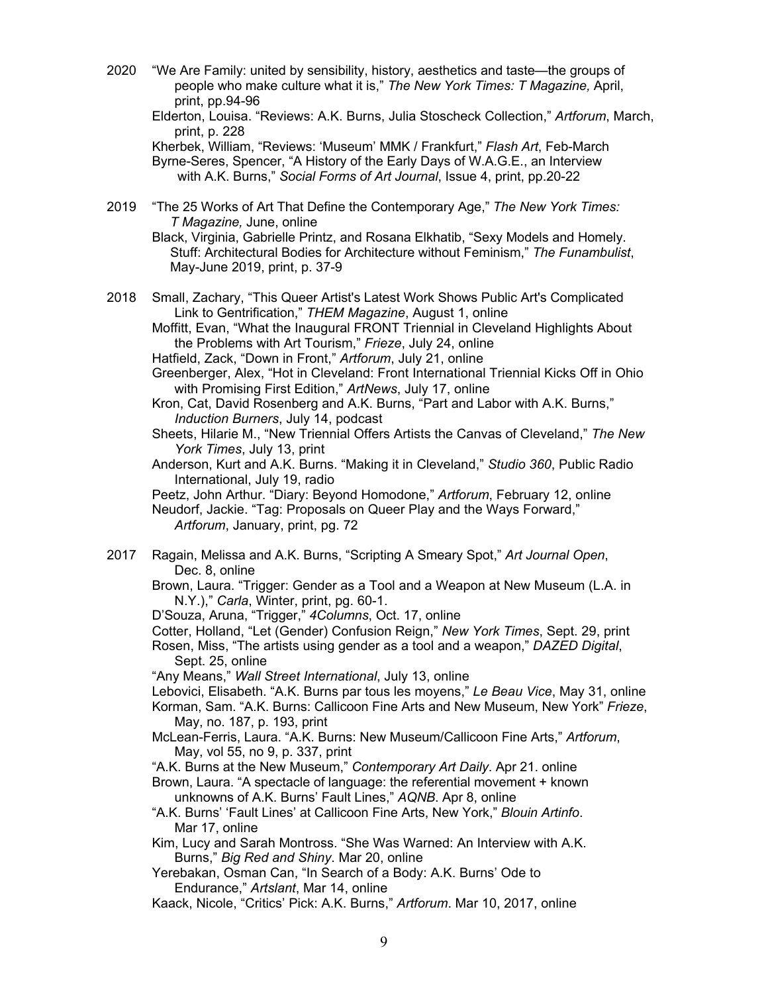2020 "We Are Family: united by sensibility, history, aesthetics and taste—the groups of people who make culture what it is," *The New York Times: T Magazine,* April, print, pp.94-96

Elderton, Louisa. "Reviews: A.K. Burns, Julia Stoscheck Collection," *Artforum*, March, print, p. 228

Kherbek, William, "Reviews: 'Museum' MMK / Frankfurt," *Flash Art*, Feb-March Byrne-Seres, Spencer, "A History of the Early Days of W.A.G.E., an Interview with A.K. Burns," *Social Forms of Art Journal*, Issue 4, print, pp.20-22

2019 "The 25 Works of Art That Define the Contemporary Age," *The New York Times: T Magazine,* June, online

Black, Virginia, Gabrielle Printz, and Rosana Elkhatib, "Sexy Models and Homely. Stuff: Architectural Bodies for Architecture without Feminism," *The Funambulist*, . May-June 2019, print, p. 37-9

2018 Small, Zachary, "This Queer Artist's Latest Work Shows Public Art's Complicated Link to Gentrification," *THEM Magazine*, August 1, online

Moffitt, Evan, "What the Inaugural FRONT Triennial in Cleveland Highlights About the Problems with Art Tourism," *Frieze*, July 24, online

- Hatfield, Zack, "Down in Front," *Artforum*, July 21, online
- Greenberger, Alex, "Hot in Cleveland: Front International Triennial Kicks Off in Ohio with Promising First Edition," *ArtNews*, July 17, online
- Kron, Cat, David Rosenberg and A.K. Burns, "Part and Labor with A.K. Burns," *Induction Burners*, July 14, podcast
- Sheets, Hilarie M., "New Triennial Offers Artists the Canvas of Cleveland," *The New York Times*, July 13, print
- Anderson, Kurt and A.K. Burns. "Making it in Cleveland," *Studio 360*, Public Radio International, July 19, radio

Peetz, John Arthur. "Diary: Beyond Homodone," *Artforum*, February 12, online Neudorf, Jackie. "Tag: Proposals on Queer Play and the Ways Forward," *Artforum*, January, print, pg. 72

- 2017 Ragain, Melissa and A.K. Burns, "Scripting A Smeary Spot," *Art Journal Open*, Dec. 8, online
	- Brown, Laura. "Trigger: Gender as a Tool and a Weapon at New Museum (L.A. in N.Y.)," *Carla*, Winter, print, pg. 60-1.
	- D'Souza, Aruna, "Trigger," *4Columns*, Oct. 17, online

Cotter, Holland, "Let (Gender) Confusion Reign," *New York Times*, Sept. 29, print

- Rosen, Miss, "The artists using gender as a tool and a weapon," *DAZED Digital*, Sept. 25, online
- "Any Means," *Wall Street International*, July 13, online
- Lebovici, Elisabeth. "A.K. Burns par tous les moyens," *Le Beau Vice*, May 31, online
- Korman, Sam. "A.K. Burns: Callicoon Fine Arts and New Museum, New York" *Frieze*, May, no. 187, p. 193, print
- McLean-Ferris, Laura. "A.K. Burns: New Museum/Callicoon Fine Arts," *Artforum*, May, vol 55, no 9, p. 337, print

"A.K. Burns at the New Museum," *Contemporary Art Daily*. Apr 21. online

- Brown, Laura. "A spectacle of language: the referential movement + known unknowns of A.K. Burns' Fault Lines," *AQNB*. Apr 8, online
- "A.K. Burns' 'Fault Lines' at Callicoon Fine Arts, New York," *Blouin Artinfo*. Mar 17, online
- Kim, Lucy and Sarah Montross. "She Was Warned: An Interview with A.K. Burns," *Big Red and Shiny*. Mar 20, online
- Yerebakan, Osman Can, "In Search of a Body: A.K. Burns' Ode to Endurance," *Artslant*, Mar 14, online
- Kaack, Nicole, "Critics' Pick: A.K. Burns," *Artforum*. Mar 10, 2017, online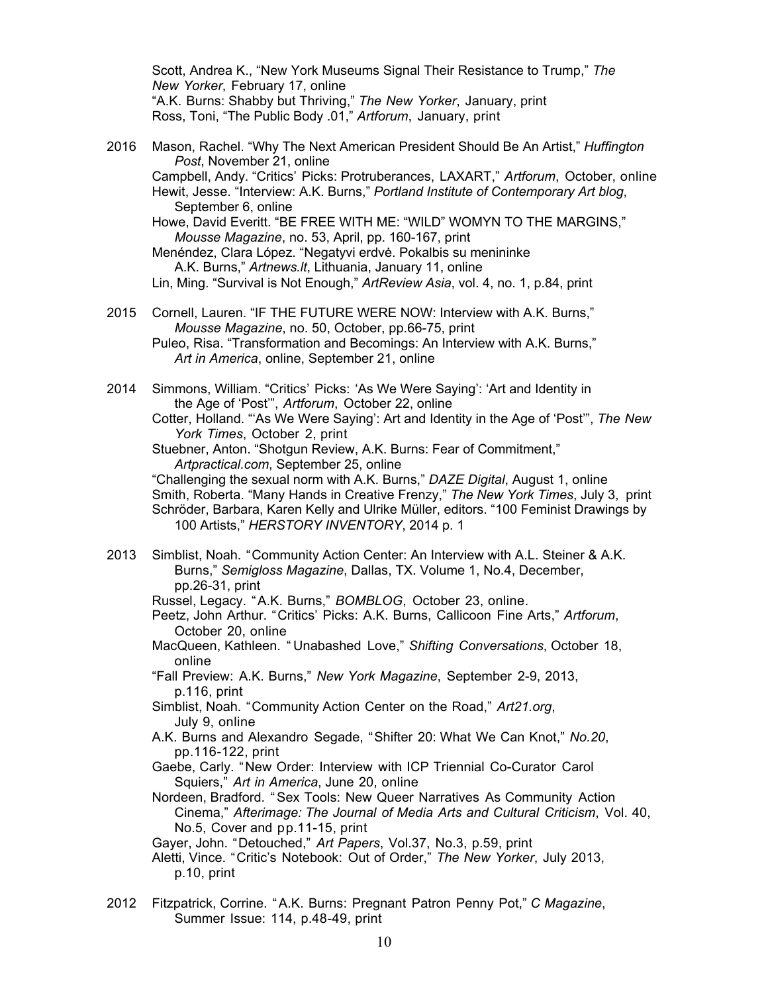Scott, Andrea K., "New York Museums Signal Their Resistance to Trump," *The New Yorker*, February 17, online "A.K. Burns: Shabby but Thriving," *The New Yorker*, January, print Ross, Toni, "The Public Body .01," *Artforum*, January, print

- 2016 Mason, Rachel. "Why The Next American President Should Be An Artist," *Huffington Post*, November 21, online Campbell, Andy. "Critics' Picks: Protruberances, LAXART," *Artforum*, October, online Hewit, Jesse. "Interview: A.K. Burns," *Portland Institute of Contemporary Art blog*, September 6, online Howe, David Everitt. "BE FREE WITH ME: "WILD" WOMYN TO THE MARGINS," *Mousse Magazine*, no. 53, April, pp. 160-167, print Menéndez, Clara López. "Negatyvi erdvė. Pokalbis su menininke A.K. Burns," *Artnews.lt*, Lithuania, January 11, online Lin, Ming. "Survival is Not Enough," *ArtReview Asia*, vol. 4, no. 1, p.84, print
- 2015 Cornell, Lauren. "IF THE FUTURE WERE NOW: Interview with A.K. Burns," *Mousse Magazine*, no. 50, October, pp.66-75, print Puleo, Risa. "Transformation and Becomings: An Interview with A.K. Burns," *Art in America*, online, September 21, online
- 2014 Simmons, William. "Critics' Picks: 'As We Were Saying': 'Art and Identity in the Age of 'Post'", *Artforum*, October 22, online
	- Cotter, Holland. "'As We Were Saying': Art and Identity in the Age of 'Post'", *The New York Times*, October 2, print
	- Stuebner, Anton. "Shotgun Review, A.K. Burns: Fear of Commitment," *Artpractical.com*, September 25, online
	- "Challenging the sexual norm with A.K. Burns," *DAZE Digital*, August 1, online Smith, Roberta. "Many Hands in Creative Frenzy," *The New York Times*, July 3, print Schröder, Barbara, Karen Kelly and Ulrike Müller, editors. "100 Feminist Drawings by 100 Artists," *HERSTORY INVENTORY*, 2014 p. 1
- 2013 Simblist, Noah. "Community Action Center: An Interview with A.L. Steiner & A.K. Burns," *Semigloss Magazine*, Dallas, TX. Volume 1, No.4, December, pp.26-31, print
	- Russel, Legacy. "A.K. Burns," *BOMBLOG*, October 23, online.
	- Peetz, John Arthur. "Critics' Picks: A.K. Burns, Callicoon Fine Arts," *Artforum*, October 20, online
	- MacQueen, Kathleen. " Unabashed Love," *Shifting Conversations*, October 18, online
	- "Fall Preview: A.K. Burns," *New York Magazine*, September 2-9, 2013, p.116, print
	- Simblist, Noah. "Community Action Center on the Road," *Art21.org*, July 9, online
	- A.K. Burns and Alexandro Segade, "Shifter 20: What We Can Knot," *No.20*, pp.116-122, print
	- Gaebe, Carly. "New Order: Interview with ICP Triennial Co-Curator Carol Squiers," *Art in America*, June 20, online
	- Nordeen, Bradford. "Sex Tools: New Queer Narratives As Community Action Cinema," *Afterimage: The Journal of Media Arts and Cultural Criticism*, Vol. 40, No.5, Cover and pp.11-15, print
	- Gayer, John. "Detouched," *Art Papers*, Vol.37, No.3, p.59, print
	- Aletti, Vince. "Critic's Notebook: Out of Order," *The New Yorker*, July 2013, p.10, print
- 2012 Fitzpatrick, Corrine. "A.K. Burns: Pregnant Patron Penny Pot," *C Magazine*, Summer Issue: 114, p.48-49, print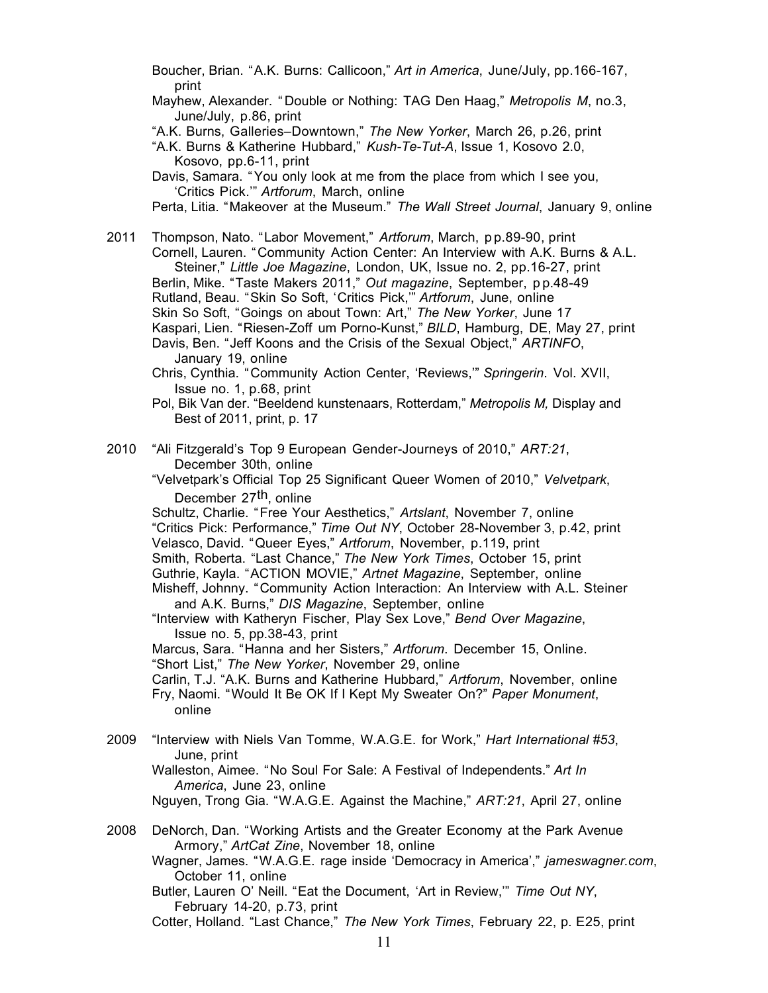Boucher, Brian. "A.K. Burns: Callicoon," *Art in America*, June/July, pp.166-167, print

Mayhew, Alexander. " Double or Nothing: TAG Den Haag," *Metropolis M*, no.3, June/July, p.86, print

"A.K. Burns, Galleries–Downtown," *The New Yorker*, March 26, p.26, print

- "A.K. Burns & Katherine Hubbard," *Kush-Te-Tut-A*, Issue 1, Kosovo 2.0, Kosovo, pp.6-11, print
- Davis, Samara. "You only look at me from the place from which I see you, 'Critics Pick.'" *Artforum*, March, online
- Perta, Litia. "Makeover at the Museum." *The Wall Street Journal*, January 9, online

2011 Thompson, Nato. "Labor Movement," *Artforum*, March, p p.89-90, print Cornell, Lauren. "Community Action Center: An Interview with A.K. Burns & A.L. Steiner," *Little Joe Magazine*, London, UK, Issue no. 2, pp.16-27, print Berlin, Mike. "Taste Makers 2011," *Out magazine*, September, p p.48-49 Rutland, Beau. "Skin So Soft, 'Critics Pick,'" *Artforum*, June, online Skin So Soft, "Goings on about Town: Art," *The New Yorker*, June 17 Kaspari, Lien. "Riesen-Zoff um Porno-Kunst," *BILD*, Hamburg, DE, May 27, print Davis, Ben. "Jeff Koons and the Crisis of the Sexual Object," *ARTINFO*, January 19, online

- Chris, Cynthia. "Community Action Center, 'Reviews,'" *Springerin*. Vol. XVII, Issue no. 1, p.68, print
- Pol, Bik Van der. "Beeldend kunstenaars, Rotterdam," *Metropolis M,* Display and . Best of 2011, print, p. 17
- 2010 "Ali Fitzgerald's Top 9 European Gender-Journeys of 2010," *ART:21*, December 30th, online
	- "Velvetpark's Official Top 25 Significant Queer Women of 2010," *Velvetpark*, December 27th, online

Schultz, Charlie. "Free Your Aesthetics," *Artslant*, November 7, online "Critics Pick: Performance," *Time Out NY*, October 28-November 3, p.42, print Velasco, David. "Queer Eyes," *Artforum*, November, p.119, print Smith, Roberta. "Last Chance," *The New York Times*, October 15, print

Guthrie, Kayla. "ACTION MOVIE," *Artnet Magazine*, September, online Misheff, Johnny. "Community Action Interaction: An Interview with A.L. Steiner and A.K. Burns," *DIS Magazine*, September, online

"Interview with Katheryn Fischer, Play Sex Love," *Bend Over Magazine*, Issue no. 5, pp.38-43, print

Marcus, Sara. "Hanna and her Sisters," *Artforum*. December 15, Online. "Short List," *The New Yorker*, November 29, online

Carlin, T.J. "A.K. Burns and Katherine Hubbard," *Artforum*, November, online

Fry, Naomi. "Would It Be OK If I Kept My Sweater On?" *Paper Monument*, online

2009 "Interview with Niels Van Tomme, W.A.G.E. for Work," *Hart International #53*, June, print

Walleston, Aimee. "No Soul For Sale: A Festival of Independents." *Art In America*, June 23, online

Nguyen, Trong Gia. "W.A.G.E. Against the Machine," *ART:21*, April 27, online

- 2008 DeNorch, Dan. "Working Artists and the Greater Economy at the Park Avenue Armory," *ArtCat Zine*, November 18, online
	- Wagner, James. "W.A.G.E. rage inside 'Democracy in America'," *jameswagner.com*, October 11, online
	- Butler, Lauren O' Neill. "Eat the Document, 'Art in Review,'" *Time Out NY*, February 14-20, p.73, print

Cotter, Holland. "Last Chance," *The New York Times*, February 22, p. E25, print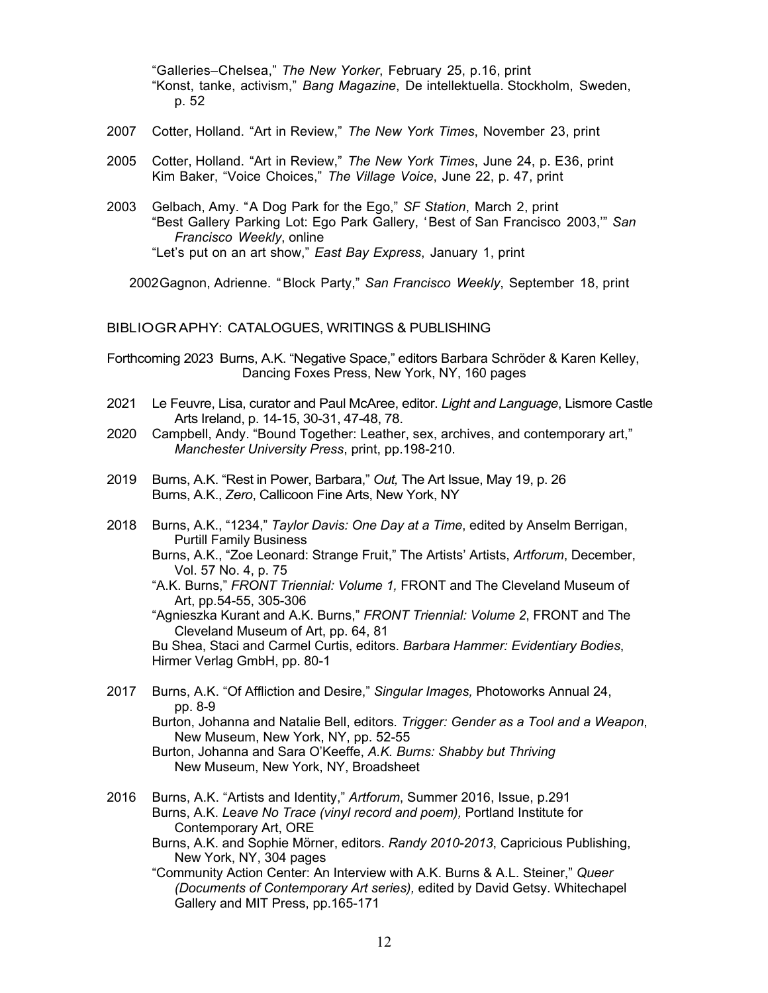"Galleries–Chelsea," *The New Yorker*, February 25, p.16, print "Konst, tanke, activism," *Bang Magazine*, De intellektuella. Stockholm, Sweden, p. 52

- 2007 Cotter, Holland. "Art in Review," *The New York Times*, November 23, print
- 2005 Cotter, Holland. "Art in Review," *The New York Times*, June 24, p. E36, print Kim Baker, "Voice Choices," *The Village Voice*, June 22, p. 47, print
- 2003 Gelbach, Amy. "A Dog Park for the Ego," *SF Station*, March 2, print "Best Gallery Parking Lot: Ego Park Gallery, 'Best of San Francisco 2003,'" *San Francisco Weekly*, online "Let's put on an art show," *East Bay Express*, January 1, print

2002Gagnon, Adrienne. "Block Party," *San Francisco Weekly*, September 18, print

#### BIBLIOGRAPHY: CATALOGUES, WRITINGS & PUBLISHING

Forthcoming 2023 Burns, A.K. "Negative Space," editors Barbara Schröder & Karen Kelley, Dancing Foxes Press, New York, NY, 160 pages

- 2021 Le Feuvre, Lisa, curator and Paul McAree, editor. *Light and Language*, Lismore Castle Arts Ireland, p. 14-15, 30-31, 47-48, 78.
- 2020 Campbell, Andy. "Bound Together: Leather, sex, archives, and contemporary art," *Manchester University Press*, print, pp.198-210.
- 2019 Burns, A.K. "Rest in Power, Barbara," *Out,* The Art Issue, May 19, p. 26 Burns, A.K., *Zero*, Callicoon Fine Arts, New York, NY
- 2018 Burns, A.K., "1234," *Taylor Davis: One Day at a Time*, edited by Anselm Berrigan, Purtill Family Business
	- Burns, A.K., "Zoe Leonard: Strange Fruit," The Artists' Artists, *Artforum*, December, Vol. 57 No. 4, p. 75
	- "A.K. Burns," *FRONT Triennial: Volume 1,* FRONT and The Cleveland Museum of Art, pp.54-55, 305-306

"Agnieszka Kurant and A.K. Burns," *FRONT Triennial: Volume 2*, FRONT and The Cleveland Museum of Art, pp. 64, 81

Bu Shea, Staci and Carmel Curtis, editors. *Barbara Hammer: Evidentiary Bodies*, Hirmer Verlag GmbH, pp. 80-1

2017 Burns, A.K. "Of Affliction and Desire," *Singular Images,* Photoworks Annual 24, pp. 8-9

Burton, Johanna and Natalie Bell, editors*. Trigger: Gender as a Tool and a Weapon*, New Museum, New York, NY, pp. 52-55

- Burton, Johanna and Sara O'Keeffe, *A.K. Burns: Shabby but Thriving* New Museum, New York, NY, Broadsheet
- 2016 Burns, A.K. "Artists and Identity," *Artforum*, Summer 2016, Issue, p.291 Burns, A.K. *L*e*ave No Trace (vinyl record and poem),* Portland Institute for Contemporary Art, ORE
	- Burns, A.K. and Sophie Mörner, editors. *Randy 2010-2013*, Capricious Publishing, New York, NY, 304 pages
	- "Community Action Center: An Interview with A.K. Burns & A.L. Steiner," *Queer (Documents of Contemporary Art series),* edited by David Getsy. Whitechapel Gallery and MIT Press, pp.165-171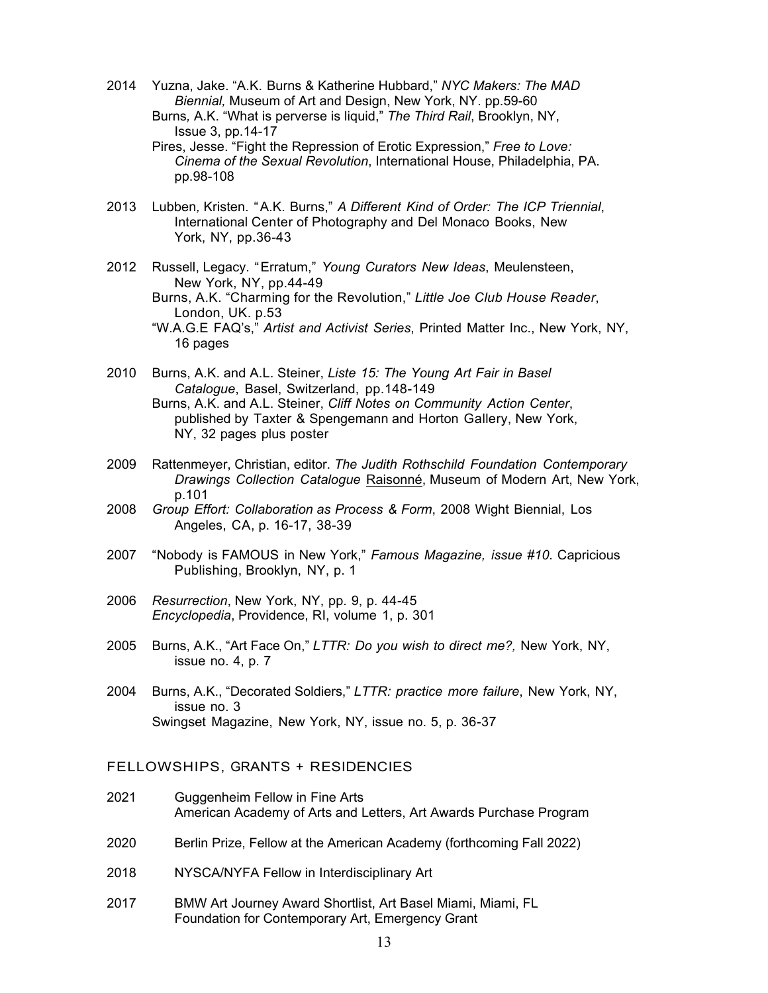- 2014 Yuzna, Jake. "A.K. Burns & Katherine Hubbard," *NYC Makers: The MAD Biennial,* Museum of Art and Design, New York, NY. pp.59-60 Burns*,* A.K. "What is perverse is liquid," *The Third Rail*, Brooklyn, NY,
	- Issue 3, pp.14-17 Pires, Jesse. "Fight the Repression of Erotic Expression," *Free to Love: Cinema of the Sexual Revolution*, International House, Philadelphia, PA. pp.98-108
- 2013 Lubben*,* Kristen. "A.K. Burns," *A Different Kind of Order: The ICP Triennial*, International Center of Photography and Del Monaco Books, New York, NY, pp.36-43
- 2012 Russell, Legacy. "Erratum," *Young Curators New Ideas*, Meulensteen, New York, NY, pp.44-49
	- Burns, A.K. "Charming for the Revolution," *Little Joe Club House Reader*, London, UK. p.53
	- "W.A.G.E FAQ's," *Artist and Activist Series*, Printed Matter Inc., New York, NY, 16 pages
- 2010 Burns, A.K. and A.L. Steiner, *Liste 15: The Young Art Fair in Basel Catalogue*, Basel, Switzerland, pp.148-149 Burns, A.K. and A.L. Steiner, *Cliff Notes on Community Action Center*,
	- published by Taxter & Spengemann and Horton Gallery, New York, NY, 32 pages plus poster
- 2009 Rattenmeyer, Christian, editor. *The Judith Rothschild Foundation Contemporary Drawings Collection Catalogue* Raisonné, Museum of Modern Art, New York, p.101
- 2008 *Group Effort: Collaboration as Process & Form*, 2008 Wight Biennial, Los Angeles, CA, p. 16-17, 38-39
- 2007 "Nobody is FAMOUS in New York," *Famous Magazine, issue #10*. Capricious Publishing, Brooklyn, NY, p. 1
- 2006 *Resurrection*, New York, NY, pp. 9, p. 44-45 *Encyclopedia*, Providence, RI, volume 1, p. 301
- 2005 Burns, A.K., "Art Face On," *LTTR: Do you wish to direct me?,* New York, NY, issue no. 4, p. 7
- 2004 Burns, A.K., "Decorated Soldiers," *LTTR: practice more failure*, New York, NY, issue no. 3 Swingset Magazine, New York, NY, issue no. 5, p. 36-37

### FELLOWSHIPS, GRANTS + RESIDENCIES

- 2021 Guggenheim Fellow in Fine Arts American Academy of Arts and Letters, Art Awards Purchase Program
- 2020 Berlin Prize, Fellow at the American Academy (forthcoming Fall 2022)
- 2018 NYSCA/NYFA Fellow in Interdisciplinary Art
- 2017 BMW Art Journey Award Shortlist, Art Basel Miami, Miami, FL Foundation for Contemporary Art, Emergency Grant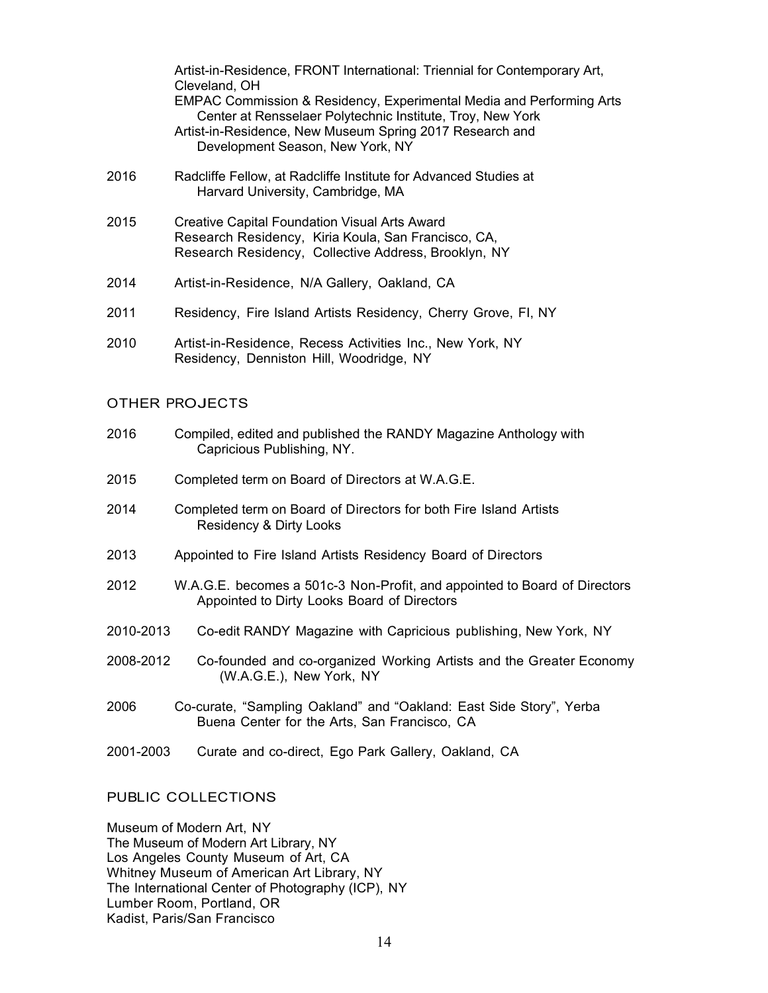|      | Artist-in-Residence, FRONT International: Triennial for Contemporary Art,<br>Cleveland, OH                                                                                                                                         |
|------|------------------------------------------------------------------------------------------------------------------------------------------------------------------------------------------------------------------------------------|
|      | EMPAC Commission & Residency, Experimental Media and Performing Arts<br>Center at Rensselaer Polytechnic Institute, Troy, New York<br>Artist-in-Residence, New Museum Spring 2017 Research and<br>Development Season, New York, NY |
| 2016 | Radcliffe Fellow, at Radcliffe Institute for Advanced Studies at<br>Harvard University, Cambridge, MA                                                                                                                              |
| 2015 | <b>Creative Capital Foundation Visual Arts Award</b><br>Research Residency, Kiria Koula, San Francisco, CA,<br>Research Residency, Collective Address, Brooklyn, NY                                                                |
| 2014 | Artist-in-Residence, N/A Gallery, Oakland, CA                                                                                                                                                                                      |
| 2011 | Residency, Fire Island Artists Residency, Cherry Grove, FI, NY                                                                                                                                                                     |
| 2010 | Artist-in-Residence, Recess Activities Inc., New York, NY<br>Residency, Denniston Hill, Woodridge, NY                                                                                                                              |
|      | <b>OTHER PROJECTS</b>                                                                                                                                                                                                              |
| 2016 | Compiled, edited and published the RANDY Magazine Anthology with                                                                                                                                                                   |

- Capricious Publishing, NY.
- 2015 Completed term on Board of Directors at W.A.G.E.
- 2014 Completed term on Board of Directors for both Fire Island Artists Residency & Dirty Looks
- 2013 Appointed to Fire Island Artists Residency Board of Directors
- 2012 W.A.G.E. becomes a 501c-3 Non-Profit, and appointed to Board of Directors Appointed to Dirty Looks Board of Directors
- 2010-2013 Co-edit RANDY Magazine with Capricious publishing, New York, NY
- 2008-2012 Co-founded and co-organized Working Artists and the Greater Economy (W.A.G.E.), New York, NY
- 2006 Co-curate, "Sampling Oakland" and "Oakland: East Side Story", Yerba Buena Center for the Arts, San Francisco, CA
- 2001-2003 Curate and co-direct, Ego Park Gallery, Oakland, CA

# PUBLIC COLLECTIONS

Museum of Modern Art, NY The Museum of Modern Art Library, NY Los Angeles County Museum of Art, CA Whitney Museum of American Art Library, NY The International Center of Photography (ICP), NY Lumber Room, Portland, OR Kadist, Paris/San Francisco